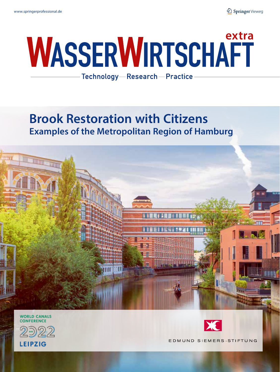# **WASSERWIRTSCHAFT**

Technology-Research-Practice

## **Brook Restoration with Citizens Examples of the Metropolitan Region of Hamburg**



**WORLD CANALS CONFERENCE** 





EDMUND SIEMERS-STIFTUNG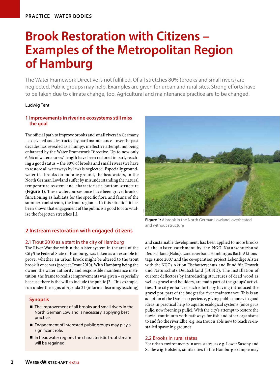## **Brook Restoration with Citizens – Examples of the Metropolitan Region of Hamburg**

The Water Framework Directive is not fulfilled. Of all stretches 80% (brooks and small rivers) are neglected. Public groups may help. Examples are given for urban and rural sites. Strong efforts have to be taken due to climate change, too. Agricultural and maintenance practice are to be changed.

#### Ludwig Tent

#### **1 Improvements in riverine ecosystems still miss the goal**

The official path to improve brooks and small rivers in Germany – excavated and destructed by hard maintenance – over the past decades has revealed as a humpy, ineffective attempt, not being enhanced by the Water Framework Directive. Up to now only 6,6% of watercourses` length have been restored in part, reaching a good status – the 80% of brooks and small rivers (we have to restore all waterways by law) is neglected. Especially groundwater fed brooks on morane ground, the headwaters, in the North German Lowland suffer by misunderstanding the natural temperature system and characteristic bottom structure (**Figure 1**). These watercourses once have been gravel brooks, functioning as habitats for the specific flora and fauna of the summer-cool stream, the trout region. – In this situation it has been shown that engagement of the public is a good tool to vitalize the forgotten stretches [1].

#### **2 Instream restoration with engaged citizens**

#### 2.1 Trout 2010 as a start in the city of Hamburg

The River Wandse within the Alster system in the area of the City/the Federal State of Hamburg, was taken as an example to prove, whether an urban brook might be altered to the trout brook it once was (project Trout 2010). With Hamburg being the owner, the water authority and responsible maintenance institution, the frame to realize improvements was given – especially because there is the will to include the public [2]. This example, run under the signs of Agenda 21 (informal learning/teaching)

#### **Synopsis**

- $\blacksquare$  The improvement of all brooks and small rivers in the North German Lowland is necessary, applying best practice.
- Engagement of interested public groups may play a significant role.
- In headwater regions the characteristic trout stream will be regained.



**Figure 1:** A brook in the North German Lowland, overheated and without structure

and sustainable development, has been applied to more brooks of the Alster catchment by the NGO Naturschutzbund Deutschland (Nabu), Landesverband Hamburg as Bach-Aktionstage since 2007 and the co-operation project Lebendige Alster with the NGOs Aktion Fischotterschutz and Bund für Umwelt und Naturschutz Deutschland (BUND). The installation of current deflectors by introducing structures of dead wood as well as gravel and boulders, are main part of the groups' activities. The city enhances such efforts by having introduced the gravel pot, part of the budget for river maintenance. This is an adaption of the Danish experience, giving public money to good ideas in practical help to aquatic ecological systems (once grus pulje, now forenings pulje). With the city's attempt to restore the fluvial continuum with pathways for fish and other organisms to and fro the river Elbe, e.g. sea trout is able now to reach re-installed spawning grounds.

#### 2.2 Brooks in rural states

For urban environments in area states, as e.g. Lower Saxony and Schleswig-Holstein, similarities to the Hamburg example may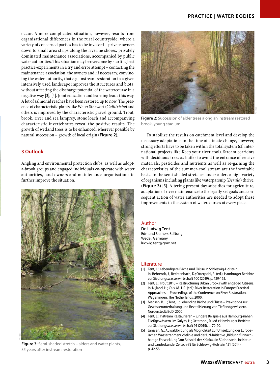occur. A more complicated situation, however, results from organisational differences in the rural countryside, where a variety of concerned parties has to be involved – private owners down to small area strips along the riverine shores, privately dominated maintenance associations, accompanied by public water authorities. This situation may be overcome by starting best practice-experiments in a try and error attempt – contacting the maintenance association, the owners and, if necessary, convincing the water authority, that e.g. instream restoration in a given intensively used landscape improves the structures and biota, without affecting the discharge potential of the watercourse in a negative way [3], [4]. Joint education and learning leads this way. A lot of salmonid reaches have been restored up to now. The presence of characteristic plants like Water Starwort (*Callitriche*) and others is improved by the characteristic gravel ground. Trout, brook, river and sea lamprey, stone loach and accompanying characteristic invertebrates reveal the positive results. The growth of wetland trees is to be enhanced, wherever possible by natural succession – growth of local origin (**Figure 2**).

#### **3 Outlook**

Angling and environmental protection clubs, as well as adopta-brook groups and engaged individuals co-operate with water authorities, land owners and maintenance organisations to further improve the situation.



**Figure 3:** Semi-shaded stretch – alders and water plants, 35 years after instream restoration



**Figure 2:** Succession of alder trees along an instream restored brook, young stadium

To stabilize the results on catchment level and develop the necessary adaptations in the time of climate change, however, strong efforts have to be taken within the total system (cf. international projects like Keep your river cool). Stream corridors with deciduous trees as buffer to avoid the entrance of erosive materials, pesticides and nutrients as well as re-gaining the characteristics of the summer-cool stream are the inevitable basis. In the semi-shaded stretches under alders a high variety of organisms including plants like waterparsnip (*Berula*) thrive. (**Figure 3**) [5]. Altering present day subsidies for agriculture, adaptation of river maintenance to the legally set goals and consequent action of water authorities are needed to adopt these improvements to the system of watercourses at every place.

#### Author

**Dr. Ludwig Tent** Edmund Siemers-Stiftung Wedel, Germany ludwig.tent@gmx.net

#### Literature

- [1] Tent, L.: Lebendigere Bäche und Flüsse in Schleswig-Holstein. In: Behrendt, J.; Rechtenbach, D.; Otterpohl, R. (ed.): Hamburger Berichte zur Siedlungswasserwirtschaft 100 (2019), p. 139-163.
- [2] Tent, L.: Trout 2010 Restructuring Urban Brooks with engaged Citizens. In: Nijland, H.; Cals, M. J. R. (ed.): River Restoration in Europe; Practical Approaches. – Proceedings of the Conference on River Restoration, Wageningen, The Netherlands, 2000.
- [3] Madsen, B. L.; Tent, L.: Lebendige Bäche und Flüsse Praxistipps zur Gewässerunterhaltung und Revitalisierung von Tieflandgewässern. Norderstedt: BoD, 2000.
- [4] Tent, L.: Instream Restaurieren jüngere Beispiele aus Hamburg-nahen Fließgewässern. In: Gulyas, H.; Otterpohl, R. (ed.): Hamburger Berichte zur Siedlungswasserwirtschaft 91 (2015), p. 79-99.
- [5] Janssen, G.: Auwaldbildung als Möglichkeit zur Umsetzung der Europäischen Wasserrahmenrichtlinie und der UN-Initiative "Bildung für nachhaltige Entwicklung "am Beispiel der Krückau in Südholstein. In: Naturund Landeskunde, Zeitschrift für Schleswig-Holstein 121 (2014), p. 42-58.